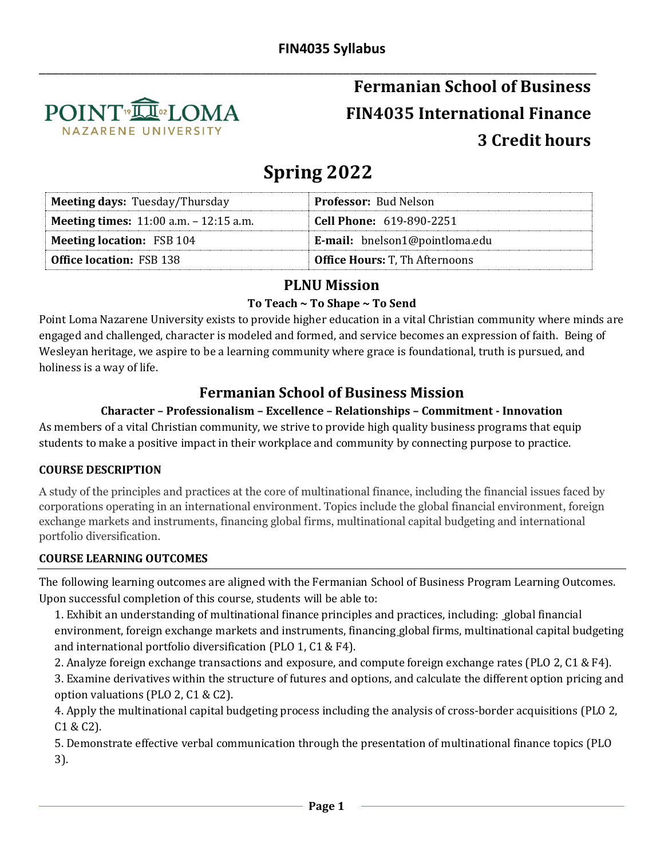

## \_\_\_\_\_\_\_\_\_\_\_\_\_\_\_\_\_\_\_\_\_\_\_\_\_\_\_\_\_\_\_\_\_\_\_\_\_\_\_\_\_\_\_\_\_\_\_\_\_\_\_\_\_\_\_\_\_\_\_\_\_\_\_\_\_\_\_\_\_\_\_\_\_\_\_\_\_\_\_\_\_\_\_\_\_\_ **Fermanian School of Business FIN4035 International Finance 3 Credit hours**

# **Spring 2022**

| <b>Meeting days: Tuesday/Thursday</b>            | <b>Professor:</b> Bud Nelson          |
|--------------------------------------------------|---------------------------------------|
| <b>Meeting times:</b> $11:00$ a.m. $-12:15$ a.m. | <b>Cell Phone: 619-890-2251</b>       |
| <b>Meeting location: FSB 104</b>                 | E-mail: bnelson1@pointloma.edu        |
| <b>Office location: FSB 138</b>                  | <b>Office Hours: T, Th Afternoons</b> |

## **PLNU Mission**

#### **To Teach ~ To Shape ~ To Send**

Point Loma Nazarene University exists to provide higher education in a vital Christian community where minds are engaged and challenged, character is modeled and formed, and service becomes an expression of faith. Being of Wesleyan heritage, we aspire to be a learning community where grace is foundational, truth is pursued, and holiness is a way of life.

## **Fermanian School of Business Mission**

#### **Character – Professionalism – Excellence – Relationships – Commitment - Innovation**

As members of a vital Christian community, we strive to provide high quality business programs that equip students to make a positive impact in their workplace and community by connecting purpose to practice.

#### **COURSE DESCRIPTION**

A study of the principles and practices at the core of multinational finance, including the financial issues faced by corporations operating in an international environment. Topics include the global financial environment, foreign exchange markets and instruments, financing global firms, multinational capital budgeting and international portfolio diversification.

#### **COURSE LEARNING OUTCOMES**

The following learning outcomes are aligned with the Fermanian School of Business Program Learning Outcomes. Upon successful completion of this course, students will be able to:

1. Exhibit an understanding of multinational finance principles and practices, including: global financial environment, foreign exchange markets and instruments, financing global firms, multinational capital budgeting and international portfolio diversification (PLO 1, C1 & F4).

2. Analyze foreign exchange transactions and exposure, and compute foreign exchange rates (PLO 2, C1 & F4).

3. Examine derivatives within the structure of futures and options, and calculate the different option pricing and option valuations (PLO 2, C1 & C2).

4. Apply the multinational capital budgeting process including the analysis of cross-border acquisitions (PLO 2, C1 & C2).

5. Demonstrate effective verbal communication through the presentation of multinational finance topics (PLO 3).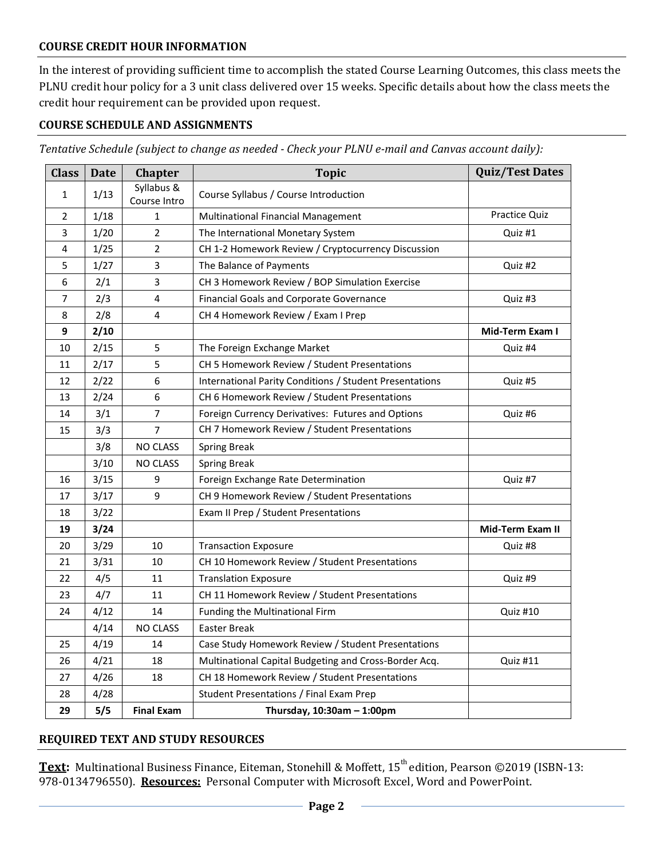#### **COURSE CREDIT HOUR INFORMATION**

In the interest of providing sufficient time to accomplish the stated Course Learning Outcomes, this class meets the PLNU credit hour policy for a 3 unit class delivered over 15 weeks. Specific details about how the class meets the credit hour requirement can be provided upon request.

#### **COURSE SCHEDULE AND ASSIGNMENTS**

*Tentative Schedule (subject to change as needed - Check your PLNU e-mail and Canvas account daily):*

| <b>Class</b>   | <b>Date</b> | <b>Chapter</b>             | <b>Topic</b>                                            | <b>Quiz/Test Dates</b> |
|----------------|-------------|----------------------------|---------------------------------------------------------|------------------------|
| $\mathbf{1}$   | 1/13        | Syllabus &<br>Course Intro | Course Syllabus / Course Introduction                   |                        |
| $\overline{2}$ | 1/18        | $\mathbf{1}$               | Multinational Financial Management                      | <b>Practice Quiz</b>   |
| 3              | 1/20        | $\overline{2}$             | The International Monetary System                       | Quiz #1                |
| 4              | 1/25        | $\overline{2}$             | CH 1-2 Homework Review / Cryptocurrency Discussion      |                        |
| 5              | 1/27        | 3                          | The Balance of Payments                                 | Quiz #2                |
| 6              | 2/1         | 3                          | CH 3 Homework Review / BOP Simulation Exercise          |                        |
| $\overline{7}$ | 2/3         | 4                          | Financial Goals and Corporate Governance<br>Quiz #3     |                        |
| 8              | 2/8         | 4                          | CH 4 Homework Review / Exam I Prep                      |                        |
| 9              | 2/10        |                            |                                                         | Mid-Term Exam I        |
| 10             | 2/15        | 5                          | The Foreign Exchange Market                             | Quiz #4                |
| 11             | 2/17        | 5                          | CH 5 Homework Review / Student Presentations            |                        |
| 12             | 2/22        | 6                          | International Parity Conditions / Student Presentations | Quiz #5                |
| 13             | 2/24        | 6                          | CH 6 Homework Review / Student Presentations            |                        |
| 14             | 3/1         | 7                          | Foreign Currency Derivatives: Futures and Options       | Quiz #6                |
| 15             | 3/3         | $\overline{7}$             | CH 7 Homework Review / Student Presentations            |                        |
|                | 3/8         | <b>NO CLASS</b>            | <b>Spring Break</b>                                     |                        |
|                | 3/10        | NO CLASS                   | <b>Spring Break</b>                                     |                        |
| 16             | 3/15        | 9                          | Foreign Exchange Rate Determination                     | Quiz #7                |
| 17             | 3/17        | 9                          | CH 9 Homework Review / Student Presentations            |                        |
| 18             | 3/22        |                            | Exam II Prep / Student Presentations                    |                        |
| 19             | 3/24        |                            |                                                         | Mid-Term Exam II       |
| 20             | 3/29        | 10                         | <b>Transaction Exposure</b>                             | Quiz #8                |
| 21             | 3/31        | 10                         | CH 10 Homework Review / Student Presentations           |                        |
| 22             | 4/5         | 11                         | <b>Translation Exposure</b>                             | Quiz #9                |
| 23             | 4/7         | 11                         | CH 11 Homework Review / Student Presentations           |                        |
| 24             | 4/12        | 14                         | Funding the Multinational Firm                          | Quiz #10               |
|                | 4/14        | NO CLASS                   | <b>Easter Break</b>                                     |                        |
| 25             | 4/19        | 14                         | Case Study Homework Review / Student Presentations      |                        |
| 26             | 4/21        | 18                         | Multinational Capital Budgeting and Cross-Border Acq.   | Quiz #11               |
| 27             | 4/26        | 18                         | CH 18 Homework Review / Student Presentations           |                        |
| 28             | 4/28        |                            | Student Presentations / Final Exam Prep                 |                        |
| 29             | 5/5         | <b>Final Exam</b>          | Thursday, $10:30$ am - 1:00pm                           |                        |

#### **REQUIRED TEXT AND STUDY RESOURCES**

**Text:** Multinational Business Finance, Eiteman, Stonehill & Moffett, 15 th edition, Pearson ©2019 (ISBN-13: 978-0134796550). **Resources:** Personal Computer with Microsoft Excel, Word and PowerPoint.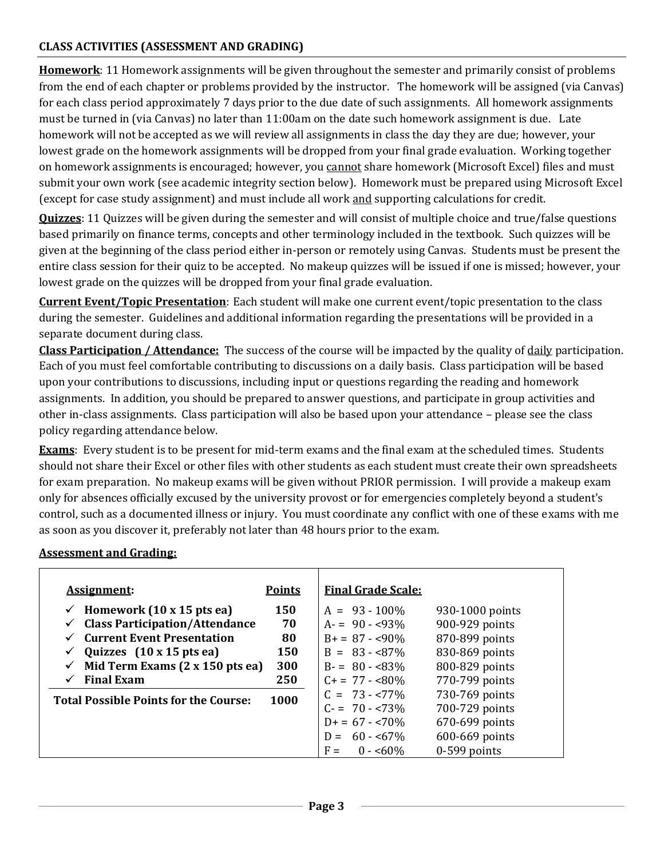#### **CLASS ACTIVITIES (ASSESSMENT AND GRADING)**

**Homework**: 11 Homework assignments will be given throughout the semester and primarily consist of problems from the end of each chapter or problems provided by the instructor. The homework will be assigned (via Canvas) for each class period approximately 7 days prior to the due date of such assignments. All homework assignments must be turned in (via Canvas) no later than 11:00am on the date such homework assignment is due. Late homework will not be accepted as we will review all assignments in class the day they are due; however, your lowest grade on the homework assignments will be dropped from your final grade evaluation. Working together on homework assignments is encouraged; however, you cannot share homework (Microsoft Excel) files and must submit your own work (see academic integrity section below). Homework must be prepared using Microsoft Excel (except for case study assignment) and must include all work and supporting calculations for credit.

**Quizzes**: 11 Quizzes will be given during the semester and will consist of multiple choice and true/false questions based primarily on finance terms, concepts and other terminology included in the textbook. Such quizzes will be given at the beginning of the class period either in-person or remotely using Canvas. Students must be present the entire class session for their quiz to be accepted. No makeup quizzes will be issued if one is missed; however, your lowest grade on the quizzes will be dropped from your final grade evaluation.

**Current Event/Topic Presentation**: Each student will make one current event/topic presentation to the class during the semester. Guidelines and additional information regarding the presentations will be provided in a separate document during class.

**Class Participation / Attendance:** The success of the course will be impacted by the quality of daily participation. Each of you must feel comfortable contributing to discussions on a daily basis. Class participation will be based upon your contributions to discussions, including input or questions regarding the reading and homework assignments. In addition, you should be prepared to answer questions, and participate in group activities and other in-class assignments. Class participation will also be based upon your attendance – please see the class policy regarding attendance below.

**Exams**: Every student is to be present for mid-term exams and the final exam at the scheduled times. Students should not share their Excel or other files with other students as each student must create their own spreadsheets for exam preparation. No makeup exams will be given without PRIOR permission. I will provide a makeup exam only for absences officially excused by the university provost or for emergencies completely beyond a student's control, such as a documented illness or injury. You must coordinate any conflict with one of these exams with me as soon as you discover it, preferably not later than 48 hours prior to the exam.

#### **Assessment and Grading:**

| Assignment:                                          | <b>Points</b> | <b>Final Grade Scale:</b> |                 |
|------------------------------------------------------|---------------|---------------------------|-----------------|
| Homework $(10 \times 15$ pts ea)                     | 150           | $A = 93 - 100\%$          | 930-1000 points |
| <b>Class Participation/Attendance</b>                | 70            | $A = 90 - 93\%$           | 900-929 points  |
| <b>Current Event Presentation</b>                    | 80            | $B_+ = 87 - 90\%$         | 870-899 points  |
| Quizzes $(10 \times 15 \text{ pts} \text{ ea})$<br>✔ | 150           | $B = 83 - 87\%$           | 830-869 points  |
| Mid Term Exams (2 x 150 pts ea)                      | 300           | $B = 80 - 83\%$           | 800-829 points  |
| <b>Final Exam</b>                                    | 250           | $C + 77 - 80\%$           | 770-799 points  |
| <b>Total Possible Points for the Course:</b>         | 1000          | $C = 73 - 77\%$           | 730-769 points  |
|                                                      |               | $C = 70 - 73\%$           | 700-729 points  |
|                                                      |               | $D+ = 67 - 70\%$          | 670-699 points  |
|                                                      |               | $D = 60 - 67\%$           | 600-669 points  |
|                                                      |               | $F =$<br>$0 - 50\%$       | $0-599$ points  |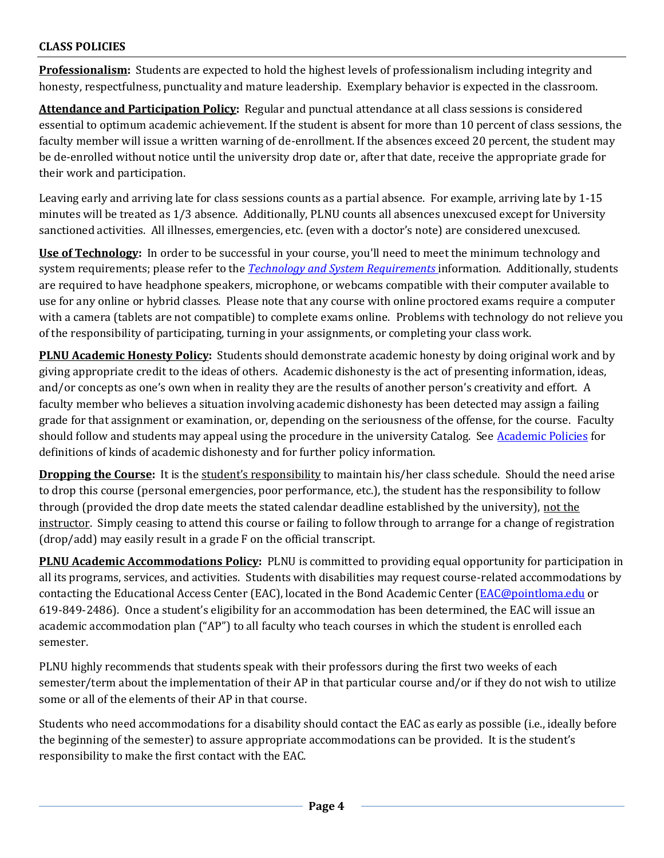#### **CLASS POLICIES**

**Professionalism:** Students are expected to hold the highest levels of professionalism including integrity and honesty, respectfulness, punctuality and mature leadership. Exemplary behavior is expected in the classroom.

**Attendance and Participation Policy:** Regular and punctual attendance at all class sessions is considered essential to optimum academic achievement. If the student is absent for more than 10 percent of class sessions, the faculty member will issue a written warning of de-enrollment. If the absences exceed 20 percent, the student may be de-enrolled without notice until the university drop date or, after that date, receive the appropriate grade for their work and participation.

Leaving early and arriving late for class sessions counts as a partial absence. For example, arriving late by 1-15 minutes will be treated as 1/3 absence. Additionally, PLNU counts all absences unexcused except for University sanctioned activities. All illnesses, emergencies, etc. (even with a doctor's note) are considered unexcused.

**Use of Technology:** In order to be successful in your course, you'll need to meet the minimum technology and system requirements; please refer to the *[Technology and System Requirements](https://help.pointloma.edu/TDClient/1808/Portal/KB/ArticleDet?ID=108349)* information. Additionally, students are required to have headphone speakers, microphone, or webcams compatible with their computer available to use for any online or hybrid classes. Please note that any course with online proctored exams require a computer with a camera (tablets are not compatible) to complete exams online. Problems with technology do not relieve you of the responsibility of participating, turning in your assignments, or completing your class work.

**PLNU Academic Honesty Policy:** Students should demonstrate academic honesty by doing original work and by giving appropriate credit to the ideas of others. Academic dishonesty is the act of presenting information, ideas, and/or concepts as one's own when in reality they are the results of another person's creativity and effort. A faculty member who believes a situation involving academic dishonesty has been detected may assign a failing grade for that assignment or examination, or, depending on the seriousness of the offense, for the course. Faculty should follow and students may appeal using the procedure in the university Catalog. See [Academic Policies](https://catalog.pointloma.edu/content.php?catoid=52&navoid=2919#Academic_Honesty) for definitions of kinds of academic dishonesty and for further policy information.

**Dropping the Course:** It is the student's responsibility to maintain his/her class schedule. Should the need arise to drop this course (personal emergencies, poor performance, etc.), the student has the responsibility to follow through (provided the drop date meets the stated calendar deadline established by the university), not the instructor. Simply ceasing to attend this course or failing to follow through to arrange for a change of registration (drop/add) may easily result in a grade F on the official transcript.

**PLNU Academic Accommodations Policy:** PLNU is committed to providing equal opportunity for participation in all its programs, services, and activities. Students with disabilities may request course-related accommodations by contacting the Educational Access Center (EAC), located in the Bond Academic Center [\(EAC@pointloma.edu](mailto:EAC@pointloma.edu) or 619-849-2486). Once a student's eligibility for an accommodation has been determined, the EAC will issue an academic accommodation plan ("AP") to all faculty who teach courses in which the student is enrolled each semester.

PLNU highly recommends that students speak with their professors during the first two weeks of each semester/term about the implementation of their AP in that particular course and/or if they do not wish to utilize some or all of the elements of their AP in that course.

Students who need accommodations for a disability should contact the EAC as early as possible (i.e., ideally before the beginning of the semester) to assure appropriate accommodations can be provided. It is the student's responsibility to make the first contact with the EAC.